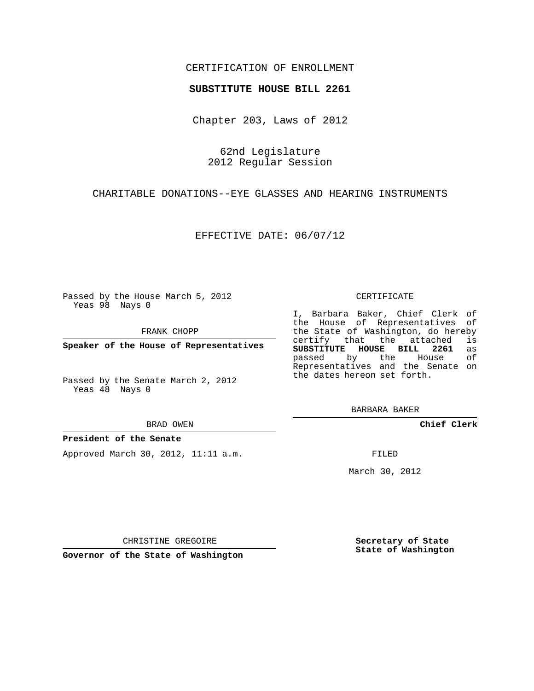### CERTIFICATION OF ENROLLMENT

#### **SUBSTITUTE HOUSE BILL 2261**

Chapter 203, Laws of 2012

62nd Legislature 2012 Regular Session

CHARITABLE DONATIONS--EYE GLASSES AND HEARING INSTRUMENTS

EFFECTIVE DATE: 06/07/12

Passed by the House March 5, 2012 Yeas 98 Nays 0

FRANK CHOPP

**Speaker of the House of Representatives**

Passed by the Senate March 2, 2012 Yeas 48 Nays 0

BRAD OWEN

#### **President of the Senate**

Approved March 30, 2012, 11:11 a.m.

CERTIFICATE

I, Barbara Baker, Chief Clerk of the House of Representatives of the State of Washington, do hereby<br>certify that the attached is certify that the attached **SUBSTITUTE HOUSE BILL 2261** as passed by the House Representatives and the Senate on the dates hereon set forth.

BARBARA BAKER

**Chief Clerk**

FILED

March 30, 2012

**Secretary of State State of Washington**

CHRISTINE GREGOIRE

**Governor of the State of Washington**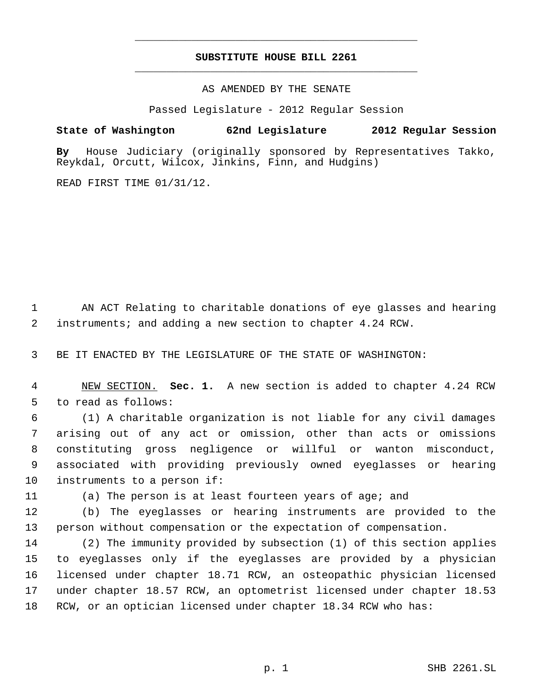# **SUBSTITUTE HOUSE BILL 2261** \_\_\_\_\_\_\_\_\_\_\_\_\_\_\_\_\_\_\_\_\_\_\_\_\_\_\_\_\_\_\_\_\_\_\_\_\_\_\_\_\_\_\_\_\_

\_\_\_\_\_\_\_\_\_\_\_\_\_\_\_\_\_\_\_\_\_\_\_\_\_\_\_\_\_\_\_\_\_\_\_\_\_\_\_\_\_\_\_\_\_

AS AMENDED BY THE SENATE

Passed Legislature - 2012 Regular Session

## **State of Washington 62nd Legislature 2012 Regular Session**

**By** House Judiciary (originally sponsored by Representatives Takko, Reykdal, Orcutt, Wilcox, Jinkins, Finn, and Hudgins)

READ FIRST TIME 01/31/12.

 AN ACT Relating to charitable donations of eye glasses and hearing instruments; and adding a new section to chapter 4.24 RCW.

BE IT ENACTED BY THE LEGISLATURE OF THE STATE OF WASHINGTON:

 NEW SECTION. **Sec. 1.** A new section is added to chapter 4.24 RCW to read as follows:

 (1) A charitable organization is not liable for any civil damages arising out of any act or omission, other than acts or omissions constituting gross negligence or willful or wanton misconduct, associated with providing previously owned eyeglasses or hearing instruments to a person if:

(a) The person is at least fourteen years of age; and

 (b) The eyeglasses or hearing instruments are provided to the person without compensation or the expectation of compensation.

 (2) The immunity provided by subsection (1) of this section applies to eyeglasses only if the eyeglasses are provided by a physician licensed under chapter 18.71 RCW, an osteopathic physician licensed under chapter 18.57 RCW, an optometrist licensed under chapter 18.53 RCW, or an optician licensed under chapter 18.34 RCW who has: